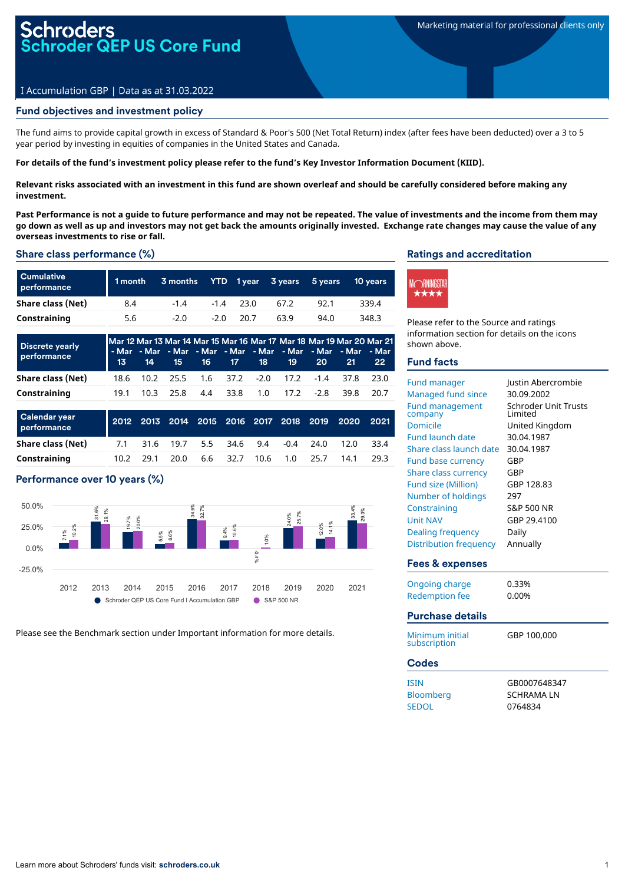# I Accumulation GBP | Data as at 31.03.2022

#### Fund objectives and investment policy

The fund aims to provide capital growth in excess of Standard & Poor's 500 (Net Total Return) index (after fees have been deducted) over a 3 to 5 year period by investing in equities of companies in the United States and Canada.

For details of the fund's investment policy please refer to the fund's Key Investor Information Document (KIID).

Relevant risks associated with an investment in this fund are shown overleaf and should be carefully considered before making any **investment.**

Past Performance is not a quide to future performance and may not be repeated. The value of investments and the income from them may go down as well as up and investors may not get back the amounts originally invested. Exchange rate changes may cause the value of any **overseas investments to rise or fall.**

#### Share class performance (%)

| <b>Cumulative</b><br>performance | 1 month | 3 months |        |             | YTD 1year 3years | 5 vears | <b>10 years</b> |
|----------------------------------|---------|----------|--------|-------------|------------------|---------|-----------------|
| Share class (Net)                | 8.4     | $-14$    |        | $-1.4$ 23.0 | 67.2             | 92.1    | 339.4           |
| Constraining                     | 5.6     | $-2.0$   | $-2.0$ | 20.7        | 63.9             | 94.0    | 348.3           |

| <b>Discrete yearly</b><br>performance |  |  |  |  | Mar 12 Mar 13 Mar 14 Mar 15 Mar 16 Mar 17 Mar 18 Mar 19 Mar 20 Mar 21<br>- Mar - Mar - Mar - Mar - Mar - Mar - Mar - Mar - Mar - Mar  <br>  13 14 15 16 17 18 19 20 21 | -22 - |
|---------------------------------------|--|--|--|--|------------------------------------------------------------------------------------------------------------------------------------------------------------------------|-------|
| Share class (Net)                     |  |  |  |  | 18.6 10.2 25.5 1.6 37.2 -2.0 17.2 -1.4 37.8 23.0                                                                                                                       |       |
| Constraining                          |  |  |  |  | 19.1 10.3 25.8 4.4 33.8 1.0 17.2 -2.8 39.8 20.7                                                                                                                        |       |

| Calendar year<br>performance |      |      |                                      |          |      |            | 2012 2013 2014 2015 2016 2017 2018 2019 2020 2021 |       |
|------------------------------|------|------|--------------------------------------|----------|------|------------|---------------------------------------------------|-------|
| Share class (Net)            |      |      | 7.1 31.6 19.7 5.5 34.6 9.4 -0.4 24.0 |          |      |            | 12.0                                              | 33.4  |
| Constraining                 | 10.2 | 29.1 | 20.0                                 | 6.6 32.7 | 10.6 | $1.0$ 25.7 | 14.1                                              | -29.3 |

## Performance over 10 years (%)



Please see the Benchmark section under Important information for more details.

### Ratings and accreditation



Please refer to the Source and ratings information section for details on the icons shown above.

#### Fund facts

| <b>Fund manager</b>                            | Justin Abercrombie                      |
|------------------------------------------------|-----------------------------------------|
| <b>Managed fund since</b>                      | 30.09.2002                              |
| <b>Fund management</b><br>company              | <b>Schroder Unit Trusts</b><br>I imited |
| <b>Domicile</b>                                | United Kingdom                          |
| <b>Fund launch date</b>                        | 30.04.1987                              |
| Share class launch date                        | 30.04.1987                              |
| <b>Fund base currency</b>                      | GBP                                     |
| <b>Share class currency</b>                    | GBP                                     |
| <b>Fund size (Million)</b>                     | GBP 128.83                              |
| Number of holdings                             | 297                                     |
| Constraining                                   | S&P 500 NR                              |
| <b>Unit NAV</b>                                | GBP 29.4100                             |
| Dealing frequency                              | Daily                                   |
| <b>Distribution frequency</b>                  | Annually                                |
|                                                |                                         |
| Fees & expenses                                |                                         |
|                                                | 0.33%                                   |
| <b>Ongoing charge</b><br><b>Redemption fee</b> | 0.00%                                   |
| <b>Purchase details</b>                        |                                         |
| Minimum initial<br>subscription                | GBP 100,000                             |
| <b>Codes</b>                                   |                                         |
| <b>ISIN</b>                                    | GB0007648347                            |
| Bloomberg                                      | <b>SCHRAMALN</b>                        |
| <b>SEDOL</b>                                   | 0764834                                 |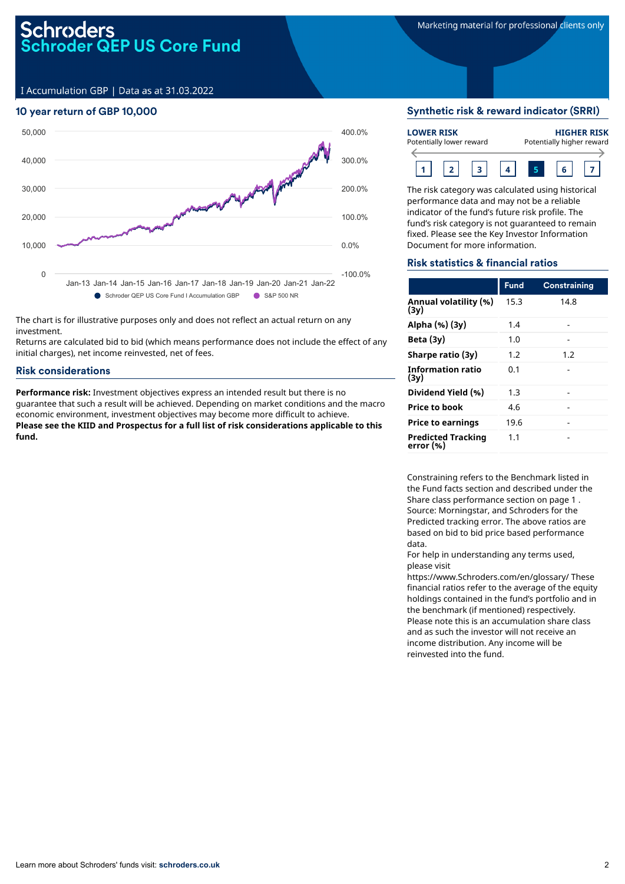# oder QEP US Core Fund

I Accumulation GBP | Data as at 31.03.2022

### 10 year return of GBP 10,000



The chart is for illustrative purposes only and does not reflect an actual return on any investment.

Returns are calculated bid to bid (which means performance does not include the effect of any initial charges), net income reinvested, net of fees.

#### Risk considerations

**Performance risk:** Investment objectives express an intended result but there is no guarantee that such a result will be achieved. Depending on market conditions and the macro economic environment, investment objectives may become more difficult to achieve. **Please see the KIID and Prospectus for a full list of risk considerations applicable to this fund.**

#### Synthetic risk & reward indicator (SRRI)

| <b>LOWER RISK</b><br>Potentially lower reward |  | <b>HIGHER RISK</b><br>Potentially higher reward |  |  |  |
|-----------------------------------------------|--|-------------------------------------------------|--|--|--|
|                                               |  |                                                 |  |  |  |

The risk category was calculated using historical performance data and may not be a reliable indicator of the fund's future risk profile. The fund's risk category is not guaranteed to remain fixed. Please see the Key Investor Information Document for more information.

#### Risk statistics & financial ratios

|                                        | <b>Fund</b> | Constraining |
|----------------------------------------|-------------|--------------|
| Annual volatility (%)<br>(3v)          | 15.3        | 14.8         |
| Alpha (%) (3y)                         | 1.4         |              |
| Beta $(3y)$                            | 1.0         |              |
| Sharpe ratio (3y)                      | 1.2         | 1.2          |
| <b>Information ratio</b><br>(3y)       | 0.1         |              |
| Dividend Yield (%)                     | 1.3         |              |
| Price to book                          | 4.6         |              |
| <b>Price to earnings</b>               | 19.6        |              |
| <b>Predicted Tracking</b><br>error (%) | 1.1         |              |

Constraining refers to the Benchmark listed in the Fund facts section and described under the Share class performance section on page 1 . Source: Morningstar, and Schroders for the Predicted tracking error. The above ratios are based on bid to bid price based performance data.

For help in understanding any terms used, please visit

https://www.Schroders.com/en/glossary/ These financial ratios refer to the average of the equity holdings contained in the fund's portfolio and in the benchmark (if mentioned) respectively. Please note this is an accumulation share class and as such the investor will not receive an income distribution. Any income will be reinvested into the fund.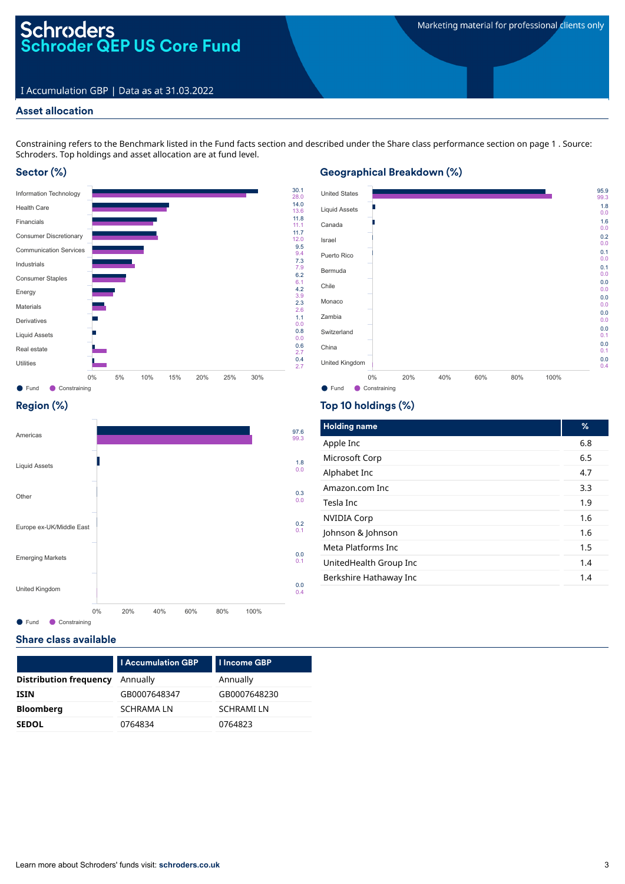# Schroders<br>Schroder QEP US Core Fund

### I Accumulation GBP | Data as at 31.03.2022

#### Asset allocation

Constraining refers to the Benchmark listed in the Fund facts section and described under the Share class performance section on page 1 . Source: Schroders. Top holdings and asset allocation are at fund level.

### Sector (%)



#### ● Fund ● Constraining United States Liquid Assets Canada Israel Puerto Rico Bermuda Chile Monaco Zambia Switzerland China United Kingdom 95.9 99.3 1.8 0.0 1.6 0.0 0.2 0.0 0.1 0.0 0.1 0.0 0.0 0.0 0.0 0.0 0.0 0.0 0.0 0.1 0.0 0.1 0.0 0.4 0% 20% 40% 60% 80% 100%

# Region (%)



Top 10 holdings (%)

Geographical Breakdown (%)

| <b>Holding name</b>    | %   |
|------------------------|-----|
| Apple Inc              | 6.8 |
| Microsoft Corp         | 6.5 |
| Alphabet Inc           | 4.7 |
| Amazon.com Inc         | 3.3 |
| Tesla Inc              | 1.9 |
| <b>NVIDIA Corp</b>     | 1.6 |
| Johnson & Johnson      | 1.6 |
| Meta Platforms Inc.    | 1.5 |
| UnitedHealth Group Inc | 1.4 |
| Berkshire Hathaway Inc | 1.4 |
|                        |     |

#### Share class available

|                               | <b>I Accumulation GBP</b> | <b>I Income GBP</b> |
|-------------------------------|---------------------------|---------------------|
| <b>Distribution frequency</b> | Annually                  | Annually            |
| <b>ISIN</b>                   | GB0007648347              | GB0007648230        |
| <b>Bloomberg</b>              | <b>SCHRAMALN</b>          | <b>SCHRAMILN</b>    |
| <b>SEDOL</b>                  | 0764834                   | 0764823             |